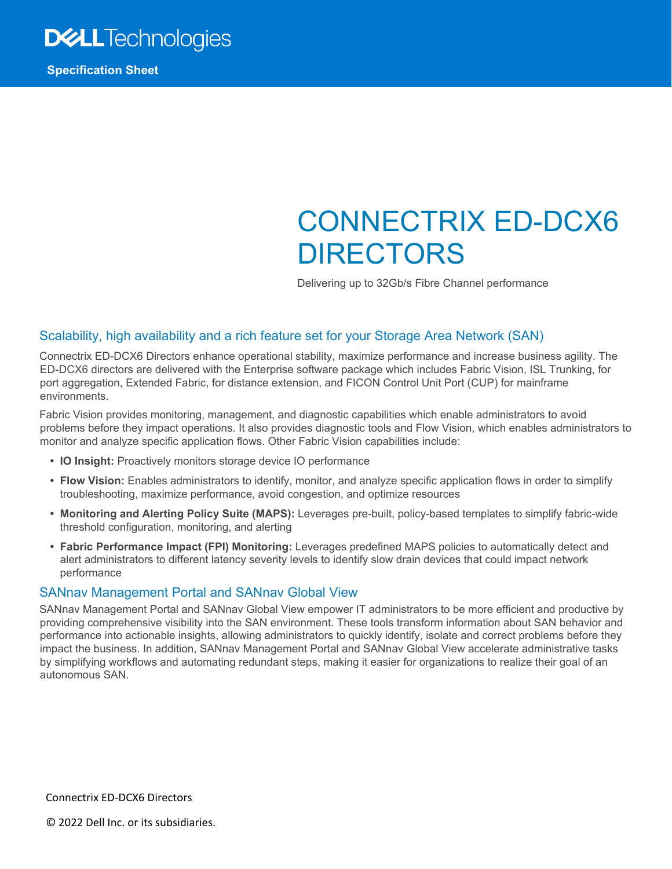

**Specification Sheet**

# CONNECTRIX ED-DCX6 DIRECTORS

Delivering up to 32Gb/s Fibre Channel performance

### Scalability, high availability and a rich feature set for your Storage Area Network (SAN)

Connectrix ED-DCX6 Directors enhance operational stability, maximize performance and increase business agility. The ED-DCX6 directors are delivered with the Enterprise software package which includes Fabric Vision, ISL Trunking, for port aggregation, Extended Fabric, for distance extension, and FICON Control Unit Port (CUP) for mainframe environments.

Fabric Vision provides monitoring, management, and diagnostic capabilities which enable administrators to avoid problems before they impact operations. It also provides diagnostic tools and Flow Vision, which enables administrators to monitor and analyze specific application flows. Other Fabric Vision capabilities include:

- **• IO Insight:** Proactively monitors storage device IO performance
- **• Flow Vision:** Enables administrators to identify, monitor, and analyze specific application flows in order to simplify troubleshooting, maximize performance, avoid congestion, and optimize resources
- **• Monitoring and Alerting Policy Suite (MAPS):** Leverages pre-built, policy-based templates to simplify fabric-wide threshold configuration, monitoring, and alerting
- **• Fabric Performance Impact (FPI) Monitoring:** Leverages predefined MAPS policies to automatically detect and alert administrators to different latency severity levels to identify slow drain devices that could impact network performance

#### SANnav Management Portal and SANnav Global View

SANnav Management Portal and SANnav Global View empower IT administrators to be more efficient and productive by providing comprehensive visibility into the SAN environment. These tools transform information about SAN behavior and performance into actionable insights, allowing administrators to quickly identify, isolate and correct problems before they impact the business. In addition, SANnav Management Portal and SANnav Global View accelerate administrative tasks by simplifying workflows and automating redundant steps, making it easier for organizations to realize their goal of an autonomous SAN.

Connectrix ED-DCX6 Directors

© 2022 Dell Inc. or its subsidiaries.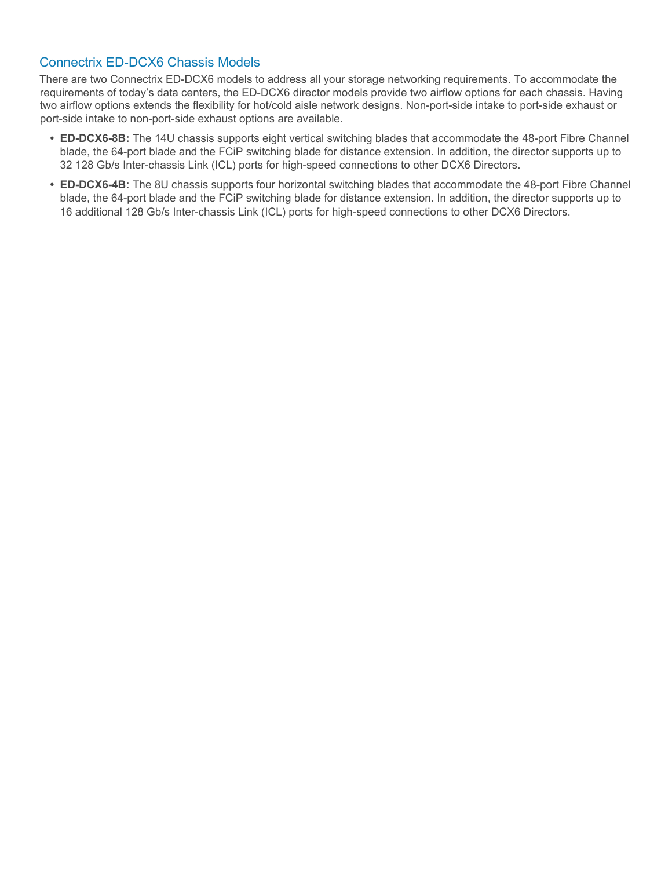### Connectrix ED-DCX6 Chassis Models

There are two Connectrix ED-DCX6 models to address all your storage networking requirements. To accommodate the requirements of today's data centers, the ED-DCX6 director models provide two airflow options for each chassis. Having two airflow options extends the flexibility for hot/cold aisle network designs. Non-port-side intake to port-side exhaust or port-side intake to non-port-side exhaust options are available.

- **• ED-DCX6-8B:** The 14U chassis supports eight vertical switching blades that accommodate the 48-port Fibre Channel blade, the 64-port blade and the FCiP switching blade for distance extension. In addition, the director supports up to 32 128 Gb/s Inter-chassis Link (ICL) ports for high-speed connections to other DCX6 Directors.
- **• ED-DCX6-4B:** The 8U chassis supports four horizontal switching blades that accommodate the 48-port Fibre Channel blade, the 64-port blade and the FCiP switching blade for distance extension. In addition, the director supports up to 16 additional 128 Gb/s Inter-chassis Link (ICL) ports for high-speed connections to other DCX6 Directors.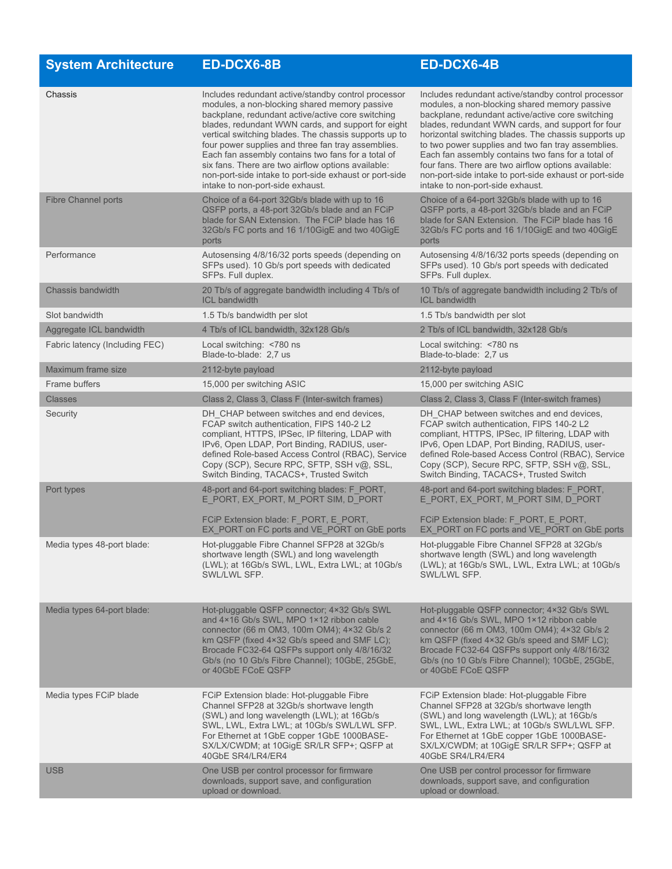| <b>System Architecture</b>     | <b>ED-DCX6-8B</b>                                                                                                                                                                                                                                                                                                                                                                                                                                                                                                                        | ED-DCX6-4B                                                                                                                                                                                                                                                                                                                                                                                                                                                                                                                              |
|--------------------------------|------------------------------------------------------------------------------------------------------------------------------------------------------------------------------------------------------------------------------------------------------------------------------------------------------------------------------------------------------------------------------------------------------------------------------------------------------------------------------------------------------------------------------------------|-----------------------------------------------------------------------------------------------------------------------------------------------------------------------------------------------------------------------------------------------------------------------------------------------------------------------------------------------------------------------------------------------------------------------------------------------------------------------------------------------------------------------------------------|
| Chassis                        | Includes redundant active/standby control processor<br>modules, a non-blocking shared memory passive<br>backplane, redundant active/active core switching<br>blades, redundant WWN cards, and support for eight<br>vertical switching blades. The chassis supports up to<br>four power supplies and three fan tray assemblies.<br>Each fan assembly contains two fans for a total of<br>six fans. There are two airflow options available:<br>non-port-side intake to port-side exhaust or port-side<br>intake to non-port-side exhaust. | Includes redundant active/standby control processor<br>modules, a non-blocking shared memory passive<br>backplane, redundant active/active core switching<br>blades, redundant WWN cards, and support for four<br>horizontal switching blades. The chassis supports up<br>to two power supplies and two fan tray assemblies.<br>Each fan assembly contains two fans for a total of<br>four fans. There are two airflow options available:<br>non-port-side intake to port-side exhaust or port-side<br>intake to non-port-side exhaust. |
| <b>Fibre Channel ports</b>     | Choice of a 64-port 32Gb/s blade with up to 16<br>QSFP ports, a 48-port 32Gb/s blade and an FCiP<br>blade for SAN Extension. The FCIP blade has 16<br>32Gb/s FC ports and 16 1/10GigE and two 40GigE<br>ports                                                                                                                                                                                                                                                                                                                            | Choice of a 64-port 32Gb/s blade with up to 16<br>QSFP ports, a 48-port 32Gb/s blade and an FCiP<br>blade for SAN Extension. The FCIP blade has 16<br>32Gb/s FC ports and 16 1/10GigE and two 40GigE<br>ports                                                                                                                                                                                                                                                                                                                           |
| Performance                    | Autosensing 4/8/16/32 ports speeds (depending on<br>SFPs used). 10 Gb/s port speeds with dedicated<br>SFPs. Full duplex.                                                                                                                                                                                                                                                                                                                                                                                                                 | Autosensing 4/8/16/32 ports speeds (depending on<br>SFPs used). 10 Gb/s port speeds with dedicated<br>SFPs. Full duplex.                                                                                                                                                                                                                                                                                                                                                                                                                |
| Chassis bandwidth              | 20 Tb/s of aggregate bandwidth including 4 Tb/s of<br><b>ICL bandwidth</b>                                                                                                                                                                                                                                                                                                                                                                                                                                                               | 10 Tb/s of aggregate bandwidth including 2 Tb/s of<br><b>ICL</b> bandwidth                                                                                                                                                                                                                                                                                                                                                                                                                                                              |
| Slot bandwidth                 | 1.5 Tb/s bandwidth per slot                                                                                                                                                                                                                                                                                                                                                                                                                                                                                                              | 1.5 Tb/s bandwidth per slot                                                                                                                                                                                                                                                                                                                                                                                                                                                                                                             |
| Aggregate ICL bandwidth        | 4 Tb/s of ICL bandwidth, 32x128 Gb/s                                                                                                                                                                                                                                                                                                                                                                                                                                                                                                     | 2 Tb/s of ICL bandwidth, 32x128 Gb/s                                                                                                                                                                                                                                                                                                                                                                                                                                                                                                    |
| Fabric latency (Including FEC) | Local switching: <780 ns<br>Blade-to-blade: 2.7 us                                                                                                                                                                                                                                                                                                                                                                                                                                                                                       | Local switching: <780 ns<br>Blade-to-blade: 2.7 us                                                                                                                                                                                                                                                                                                                                                                                                                                                                                      |
| Maximum frame size             | 2112-byte payload                                                                                                                                                                                                                                                                                                                                                                                                                                                                                                                        | 2112-byte payload                                                                                                                                                                                                                                                                                                                                                                                                                                                                                                                       |
| Frame buffers                  | 15,000 per switching ASIC                                                                                                                                                                                                                                                                                                                                                                                                                                                                                                                | 15,000 per switching ASIC                                                                                                                                                                                                                                                                                                                                                                                                                                                                                                               |
| <b>Classes</b>                 | Class 2, Class 3, Class F (Inter-switch frames)                                                                                                                                                                                                                                                                                                                                                                                                                                                                                          | Class 2, Class 3, Class F (Inter-switch frames)                                                                                                                                                                                                                                                                                                                                                                                                                                                                                         |
| Security                       | DH CHAP between switches and end devices,<br>FCAP switch authentication, FIPS 140-2 L2<br>compliant, HTTPS, IPSec, IP filtering, LDAP with<br>IPv6, Open LDAP, Port Binding, RADIUS, user-<br>defined Role-based Access Control (RBAC), Service<br>Copy (SCP), Secure RPC, SFTP, SSH v@, SSL,<br>Switch Binding, TACACS+, Trusted Switch                                                                                                                                                                                                 | DH CHAP between switches and end devices,<br>FCAP switch authentication, FIPS 140-2 L2<br>compliant, HTTPS, IPSec, IP filtering, LDAP with<br>IPv6, Open LDAP, Port Binding, RADIUS, user-<br>defined Role-based Access Control (RBAC), Service<br>Copy (SCP), Secure RPC, SFTP, SSH v@, SSL,<br>Switch Binding, TACACS+, Trusted Switch                                                                                                                                                                                                |
| Port types                     | 48-port and 64-port switching blades: F PORT,<br>E_PORT, EX_PORT, M_PORT SIM, D_PORT<br>FCIP Extension blade: F PORT, E PORT,                                                                                                                                                                                                                                                                                                                                                                                                            | 48-port and 64-port switching blades: F PORT,<br>E_PORT, EX_PORT, M_PORT SIM, D_PORT<br>FCiP Extension blade: F PORT, E PORT,                                                                                                                                                                                                                                                                                                                                                                                                           |
| Media types 48-port blade:     | EX PORT on FC ports and VE PORT on GbE ports<br>Hot-pluggable Fibre Channel SFP28 at 32Gb/s<br>shortwave length (SWL) and long wavelength<br>(LWL); at 16Gb/s SWL, LWL, Extra LWL; at 10Gb/s<br>SWL/LWL SFP.                                                                                                                                                                                                                                                                                                                             | EX PORT on FC ports and VE_PORT on GbE ports<br>Hot-pluggable Fibre Channel SFP28 at 32Gb/s<br>shortwave length (SWL) and long wavelength<br>(LWL); at 16Gb/s SWL, LWL, Extra LWL; at 10Gb/s<br>SWL/LWL SFP.                                                                                                                                                                                                                                                                                                                            |
| Media types 64-port blade:     | Hot-pluggable QSFP connector; 4×32 Gb/s SWL<br>and 4×16 Gb/s SWL, MPO 1×12 ribbon cable<br>connector (66 m OM3, 100m OM4); 4×32 Gb/s 2<br>km QSFP (fixed 4×32 Gb/s speed and SMF LC);<br>Brocade FC32-64 QSFPs support only 4/8/16/32<br>Gb/s (no 10 Gb/s Fibre Channel); 10GbE, 25GbE,<br>or 40GbE FCoE QSFP                                                                                                                                                                                                                            | Hot-pluggable QSFP connector; 4×32 Gb/s SWL<br>and 4×16 Gb/s SWL, MPO 1×12 ribbon cable<br>connector (66 m OM3, 100m OM4); 4×32 Gb/s 2<br>km QSFP (fixed 4×32 Gb/s speed and SMF LC);<br>Brocade FC32-64 QSFPs support only 4/8/16/32<br>Gb/s (no 10 Gb/s Fibre Channel); 10GbE, 25GbE,<br>or 40GbE FCoE QSFP                                                                                                                                                                                                                           |
| Media types FCiP blade         | FCIP Extension blade: Hot-pluggable Fibre<br>Channel SFP28 at 32Gb/s shortwave length<br>(SWL) and long wavelength (LWL); at 16Gb/s<br>SWL, LWL, Extra LWL; at 10Gb/s SWL/LWL SFP.<br>For Ethernet at 1GbE copper 1GbE 1000BASE-<br>SX/LX/CWDM; at 10GigE SR/LR SFP+; QSFP at<br>40GbE SR4/LR4/ER4                                                                                                                                                                                                                                       | FCiP Extension blade: Hot-pluggable Fibre<br>Channel SFP28 at 32Gb/s shortwave length<br>(SWL) and long wavelength (LWL); at 16Gb/s<br>SWL, LWL, Extra LWL; at 10Gb/s SWL/LWL SFP.<br>For Ethernet at 1GbE copper 1GbE 1000BASE-<br>SX/LX/CWDM; at 10GigE SR/LR SFP+; QSFP at<br>40GbE SR4/LR4/ER4                                                                                                                                                                                                                                      |
| <b>USB</b>                     | One USB per control processor for firmware<br>downloads, support save, and configuration<br>upload or download.                                                                                                                                                                                                                                                                                                                                                                                                                          | One USB per control processor for firmware<br>downloads, support save, and configuration<br>upload or download.                                                                                                                                                                                                                                                                                                                                                                                                                         |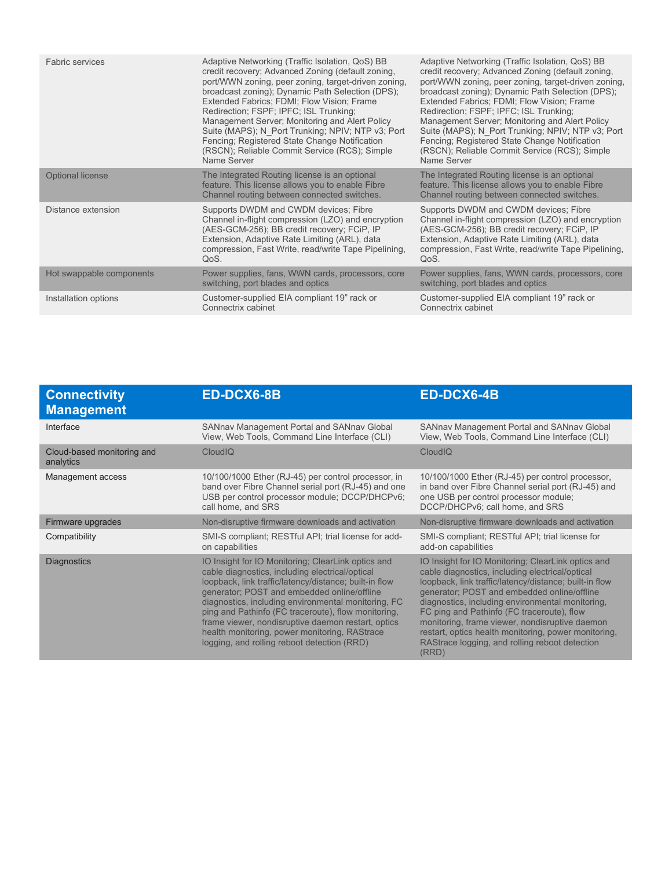| Adaptive Networking (Traffic Isolation, QoS) BB      | Adaptive Networking (Traffic Isolation, QoS) BB      |
|------------------------------------------------------|------------------------------------------------------|
| credit recovery; Advanced Zoning (default zoning,    | credit recovery; Advanced Zoning (default zoning,    |
| port/WWN zoning, peer zoning, target-driven zoning,  | port/WWN zoning, peer zoning, target-driven zoning,  |
| broadcast zoning); Dynamic Path Selection (DPS);     | broadcast zoning); Dynamic Path Selection (DPS);     |
| Extended Fabrics; FDMI; Flow Vision; Frame           | Extended Fabrics; FDMI; Flow Vision; Frame           |
| Redirection; FSPF; IPFC; ISL Trunking;               | Redirection; FSPF; IPFC; ISL Trunking;               |
| Management Server; Monitoring and Alert Policy       | Management Server; Monitoring and Alert Policy       |
| Suite (MAPS); N Port Trunking; NPIV; NTP v3; Port    | Suite (MAPS); N Port Trunking; NPIV; NTP v3; Port    |
| Fencing: Registered State Change Notification        | Fencing; Registered State Change Notification        |
| (RSCN); Reliable Commit Service (RCS); Simple        | (RSCN); Reliable Commit Service (RCS); Simple        |
| Name Server                                          | Name Server                                          |
| The Integrated Routing license is an optional        | The Integrated Routing license is an optional        |
| feature. This license allows you to enable Fibre     | feature. This license allows you to enable Fibre     |
| Channel routing between connected switches.          | Channel routing between connected switches.          |
| Supports DWDM and CWDM devices; Fibre                | Supports DWDM and CWDM devices; Fibre                |
| Channel in-flight compression (LZO) and encryption   | Channel in-flight compression (LZO) and encryption   |
| (AES-GCM-256); BB credit recovery; FCiP, IP          | (AES-GCM-256); BB credit recovery; FCiP, IP          |
| Extension, Adaptive Rate Limiting (ARL), data        | Extension, Adaptive Rate Limiting (ARL), data        |
| compression, Fast Write, read/write Tape Pipelining, | compression, Fast Write, read/write Tape Pipelining, |
| QoS.                                                 | QoS.                                                 |
| Power supplies, fans, WWN cards, processors, core    | Power supplies, fans, WWN cards, processors, core    |
| switching, port blades and optics                    | switching, port blades and optics                    |
| Customer-supplied EIA compliant 19" rack or          | Customer-supplied EIA compliant 19" rack or          |
| Connectrix cabinet                                   | Connectrix cabinet                                   |
|                                                      |                                                      |

| <b>Connectivity</b><br><b>Management</b> | ED-DCX6-8B                                                                                                                                                                                                                                                                                                                                                                                                                                                                         | ED-DCX6-4B                                                                                                                                                                                                                                                                                                                                                                                                                                                                            |
|------------------------------------------|------------------------------------------------------------------------------------------------------------------------------------------------------------------------------------------------------------------------------------------------------------------------------------------------------------------------------------------------------------------------------------------------------------------------------------------------------------------------------------|---------------------------------------------------------------------------------------------------------------------------------------------------------------------------------------------------------------------------------------------------------------------------------------------------------------------------------------------------------------------------------------------------------------------------------------------------------------------------------------|
| Interface                                | SANnav Management Portal and SANnav Global<br>View, Web Tools, Command Line Interface (CLI)                                                                                                                                                                                                                                                                                                                                                                                        | SANnav Management Portal and SANnav Global<br>View, Web Tools, Command Line Interface (CLI)                                                                                                                                                                                                                                                                                                                                                                                           |
| Cloud-based monitoring and<br>analytics  | CloudIQ                                                                                                                                                                                                                                                                                                                                                                                                                                                                            | CloudIQ                                                                                                                                                                                                                                                                                                                                                                                                                                                                               |
| Management access                        | 10/100/1000 Ether (RJ-45) per control processor, in<br>band over Fibre Channel serial port (RJ-45) and one<br>USB per control processor module; DCCP/DHCPv6;<br>call home, and SRS                                                                                                                                                                                                                                                                                                 | 10/100/1000 Ether (RJ-45) per control processor,<br>in band over Fibre Channel serial port (RJ-45) and<br>one USB per control processor module;<br>DCCP/DHCPv6; call home, and SRS                                                                                                                                                                                                                                                                                                    |
| Firmware upgrades                        | Non-disruptive firmware downloads and activation                                                                                                                                                                                                                                                                                                                                                                                                                                   | Non-disruptive firmware downloads and activation                                                                                                                                                                                                                                                                                                                                                                                                                                      |
| Compatibility                            | SMI-S compliant; RESTful API; trial license for add-<br>on capabilities                                                                                                                                                                                                                                                                                                                                                                                                            | SMI-S compliant; RESTful API; trial license for<br>add-on capabilities                                                                                                                                                                                                                                                                                                                                                                                                                |
| <b>Diagnostics</b>                       | IO Insight for IO Monitoring; ClearLink optics and<br>cable diagnostics, including electrical/optical<br>loopback, link traffic/latency/distance; built-in flow<br>generator; POST and embedded online/offline<br>diagnostics, including environmental monitoring, FC<br>ping and Pathinfo (FC traceroute), flow monitoring,<br>frame viewer, nondisruptive daemon restart, optics<br>health monitoring, power monitoring, RAStrace<br>logging, and rolling reboot detection (RRD) | IO Insight for IO Monitoring; ClearLink optics and<br>cable diagnostics, including electrical/optical<br>loopback, link traffic/latency/distance; built-in flow<br>generator; POST and embedded online/offline<br>diagnostics, including environmental monitoring,<br>FC ping and Pathinfo (FC traceroute), flow<br>monitoring, frame viewer, nondisruptive daemon<br>restart, optics health monitoring, power monitoring,<br>RAStrace logging, and rolling reboot detection<br>(RRD) |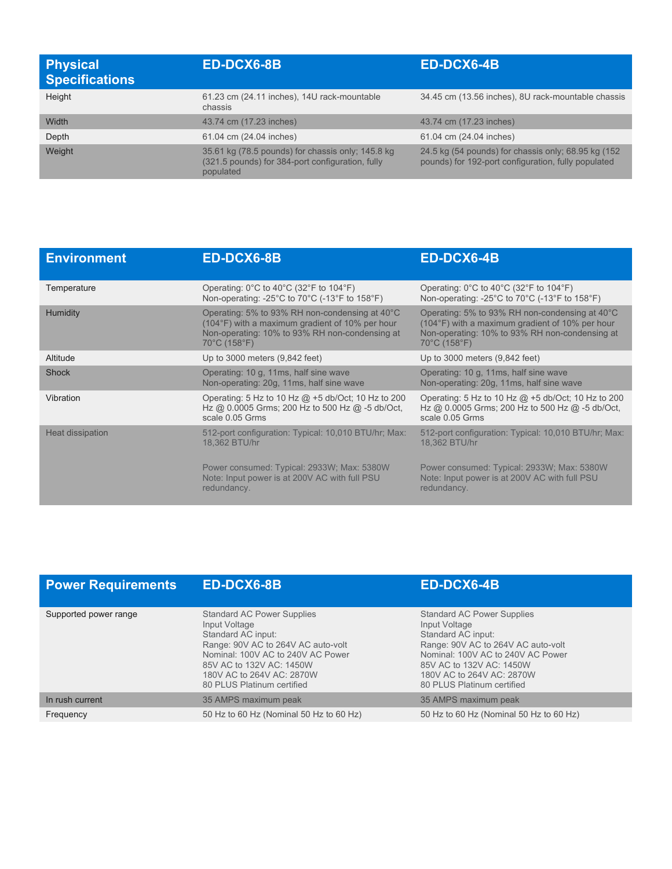| <b>Physical</b><br><b>Specifications</b> | <b>ED-DCX6-8B</b>                                                                                                  | ED-DCX6-4B                                                                                                 |
|------------------------------------------|--------------------------------------------------------------------------------------------------------------------|------------------------------------------------------------------------------------------------------------|
| Height                                   | 61.23 cm (24.11 inches), 14U rack-mountable<br>chassis                                                             | 34.45 cm (13.56 inches), 8U rack-mountable chassis                                                         |
| Width                                    | 43.74 cm (17.23 inches)                                                                                            | 43.74 cm (17.23 inches)                                                                                    |
| Depth                                    | 61.04 cm (24.04 inches)                                                                                            | 61.04 cm (24.04 inches)                                                                                    |
| Weight                                   | 35.61 kg (78.5 pounds) for chassis only; 145.8 kg<br>(321.5 pounds) for 384-port configuration, fully<br>populated | 24.5 kg (54 pounds) for chassis only; 68.95 kg (152<br>pounds) for 192-port configuration, fully populated |

| <b>Environment</b> | <b>ED-DCX6-8B</b>                                                                                                                                                             | <b>ED-DCX6-4B</b>                                                                                                                                                                        |
|--------------------|-------------------------------------------------------------------------------------------------------------------------------------------------------------------------------|------------------------------------------------------------------------------------------------------------------------------------------------------------------------------------------|
| Temperature        | Operating: $0^{\circ}$ C to 40 $^{\circ}$ C (32 $^{\circ}$ F to 104 $^{\circ}$ F)<br>Non-operating: -25°C to 70°C (-13°F to 158°F)                                            | Operating: $0^{\circ}$ C to 40 $^{\circ}$ C (32 $^{\circ}$ F to 104 $^{\circ}$ F)<br>Non-operating: -25°C to 70°C (-13°F to 158°F)                                                       |
| <b>Humidity</b>    | Operating: 5% to 93% RH non-condensing at $40^{\circ}$ C<br>(104°F) with a maximum gradient of 10% per hour<br>Non-operating: 10% to 93% RH non-condensing at<br>70°C (158°F) | Operating: 5% to 93% RH non-condensing at 40°C<br>(104°F) with a maximum gradient of 10% per hour<br>Non-operating: 10% to 93% RH non-condensing at<br>$70^{\circ}$ C (158 $^{\circ}$ F) |
| Altitude           | Up to 3000 meters (9,842 feet)                                                                                                                                                | Up to $3000$ meters $(9,842$ feet)                                                                                                                                                       |
| <b>Shock</b>       | Operating: 10 g, 11ms, half sine wave<br>Non-operating: 20g, 11ms, half sine wave                                                                                             | Operating: 10 g, 11ms, half sine wave<br>Non-operating: 20g, 11ms, half sine wave                                                                                                        |
| Vibration          | Operating: 5 Hz to 10 Hz $@$ +5 db/Oct; 10 Hz to 200<br>Hz @ 0.0005 Grms; 200 Hz to 500 Hz @ -5 db/Oct,<br>scale 0.05 Grms                                                    | Operating: 5 Hz to 10 Hz @ +5 db/Oct; 10 Hz to 200<br>Hz @ 0.0005 Grms; 200 Hz to 500 Hz @ -5 db/Oct,<br>scale 0.05 Grms                                                                 |
| Heat dissipation   | 512-port configuration: Typical: 10,010 BTU/hr; Max:<br>18,362 BTU/hr                                                                                                         | 512-port configuration: Typical: 10,010 BTU/hr; Max:<br>18,362 BTU/hr                                                                                                                    |
|                    | Power consumed: Typical: 2933W; Max: 5380W<br>Note: Input power is at 200V AC with full PSU<br>redundancy.                                                                    | Power consumed: Typical: 2933W; Max: 5380W<br>Note: Input power is at 200V AC with full PSU<br>redundancy.                                                                               |

| <b>Power Requirements</b> | <b>ED-DCX6-8B</b>                                                                                                                                                                                                                          | <b>ED-DCX6-4B</b>                                                                                                                                                                                                                          |
|---------------------------|--------------------------------------------------------------------------------------------------------------------------------------------------------------------------------------------------------------------------------------------|--------------------------------------------------------------------------------------------------------------------------------------------------------------------------------------------------------------------------------------------|
| Supported power range     | <b>Standard AC Power Supplies</b><br>Input Voltage<br>Standard AC input:<br>Range: 90V AC to 264V AC auto-volt<br>Nominal: 100V AC to 240V AC Power<br>85V AC to 132V AC: 1450W<br>180V AC to 264V AC: 2870W<br>80 PLUS Platinum certified | <b>Standard AC Power Supplies</b><br>Input Voltage<br>Standard AC input:<br>Range: 90V AC to 264V AC auto-volt<br>Nominal: 100V AC to 240V AC Power<br>85V AC to 132V AC: 1450W<br>180V AC to 264V AC: 2870W<br>80 PLUS Platinum certified |
| In rush current           | 35 AMPS maximum peak                                                                                                                                                                                                                       | 35 AMPS maximum peak                                                                                                                                                                                                                       |
| Frequency                 | 50 Hz to 60 Hz (Nominal 50 Hz to 60 Hz)                                                                                                                                                                                                    | 50 Hz to 60 Hz (Nominal 50 Hz to 60 Hz)                                                                                                                                                                                                    |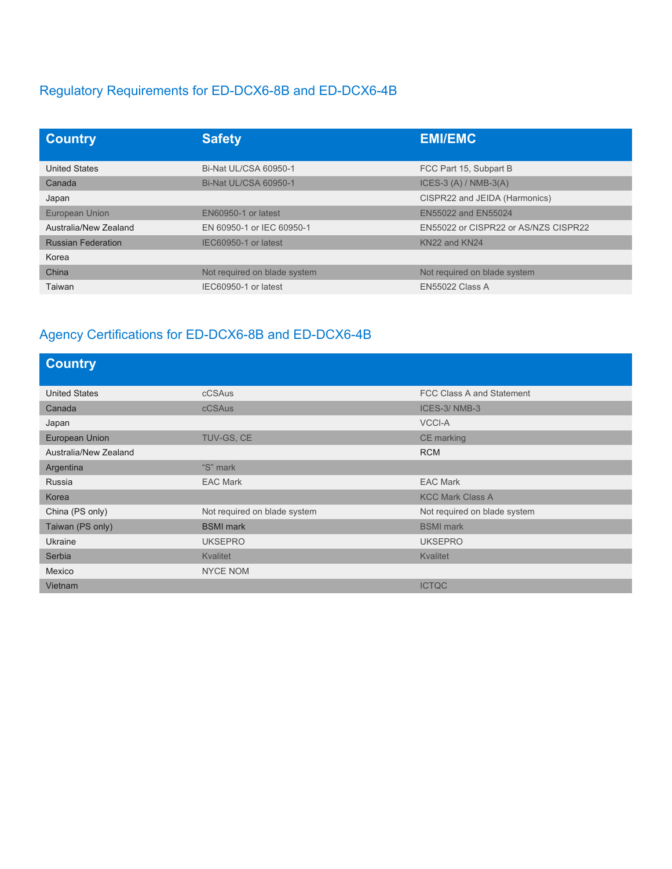## Regulatory Requirements for ED-DCX6-8B and ED-DCX6-4B

| <b>Country</b>            | <b>Safety</b>                | <b>EMI/EMC</b>                       |
|---------------------------|------------------------------|--------------------------------------|
| <b>United States</b>      | Bi-Nat UL/CSA 60950-1        | FCC Part 15, Subpart B               |
| Canada                    | Bi-Nat UL/CSA 60950-1        | ICES-3 $(A)$ / NMB-3 $(A)$           |
| Japan                     |                              | CISPR22 and JEIDA (Harmonics)        |
| <b>European Union</b>     | EN60950-1 or latest          | EN55022 and EN55024                  |
| Australia/New Zealand     | EN 60950-1 or IEC 60950-1    | EN55022 or CISPR22 or AS/NZS CISPR22 |
| <b>Russian Federation</b> | IEC60950-1 or latest         | KN22 and KN24                        |
| Korea                     |                              |                                      |
| China                     | Not required on blade system | Not required on blade system         |
| Taiwan                    | IEC60950-1 or latest         | <b>EN55022 Class A</b>               |

## Agency Certifications for ED-DCX6-8B and ED-DCX6-4B

| <b>Country</b>        |                              |                              |
|-----------------------|------------------------------|------------------------------|
| <b>United States</b>  | cCSAus                       | FCC Class A and Statement    |
| Canada                | <b>cCSAus</b>                | ICES-3/NMB-3                 |
| Japan                 |                              | <b>VCCI-A</b>                |
| European Union        | TUV-GS, CE                   | CE marking                   |
| Australia/New Zealand |                              | <b>RCM</b>                   |
| Argentina             | "S" mark                     |                              |
| Russia                | <b>EAC Mark</b>              | <b>EAC Mark</b>              |
| Korea                 |                              | <b>KCC Mark Class A</b>      |
| China (PS only)       | Not required on blade system | Not required on blade system |
| Taiwan (PS only)      | <b>BSMI</b> mark             | <b>BSMI</b> mark             |
| Ukraine               | <b>UKSEPRO</b>               | <b>UKSEPRO</b>               |
| Serbia                | <b>Kvalitet</b>              | <b>Kvalitet</b>              |
| Mexico                | <b>NYCE NOM</b>              |                              |
| Vietnam               |                              | <b>ICTQC</b>                 |